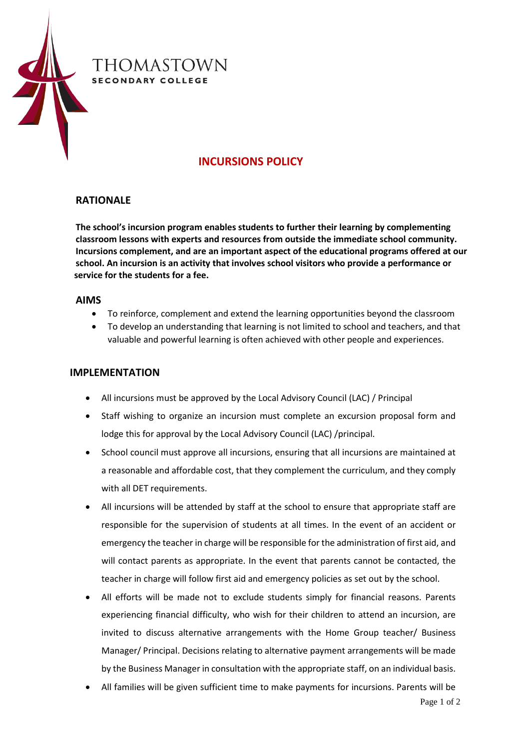

# **INCURSIONS POLICY**

## **RATIONALE**

**The school's incursion program enables students to further their learning by complementing classroom lessons with experts and resources from outside the immediate school community. Incursions complement, and are an important aspect of the educational programs offered at our school. An incursion is an activity that involves school visitors who provide a performance or service for the students for a fee.**

#### **AIMS**

- To reinforce, complement and extend the learning opportunities beyond the classroom
- To develop an understanding that learning is not limited to school and teachers, and that valuable and powerful learning is often achieved with other people and experiences.

### **IMPLEMENTATION**

- All incursions must be approved by the Local Advisory Council (LAC) / Principal
- Staff wishing to organize an incursion must complete an excursion proposal form and lodge this for approval by the Local Advisory Council (LAC) /principal.
- School council must approve all incursions, ensuring that all incursions are maintained at a reasonable and affordable cost, that they complement the curriculum, and they comply with all DET requirements.
- All incursions will be attended by staff at the school to ensure that appropriate staff are responsible for the supervision of students at all times. In the event of an accident or emergency the teacher in charge will be responsible for the administration of first aid, and will contact parents as appropriate. In the event that parents cannot be contacted, the teacher in charge will follow first aid and emergency policies as set out by the school.
- All efforts will be made not to exclude students simply for financial reasons. Parents experiencing financial difficulty, who wish for their children to attend an incursion, are invited to discuss alternative arrangements with the Home Group teacher/ Business Manager/ Principal. Decisions relating to alternative payment arrangements will be made by the Business Manager in consultation with the appropriate staff, on an individual basis.
- All families will be given sufficient time to make payments for incursions. Parents will be